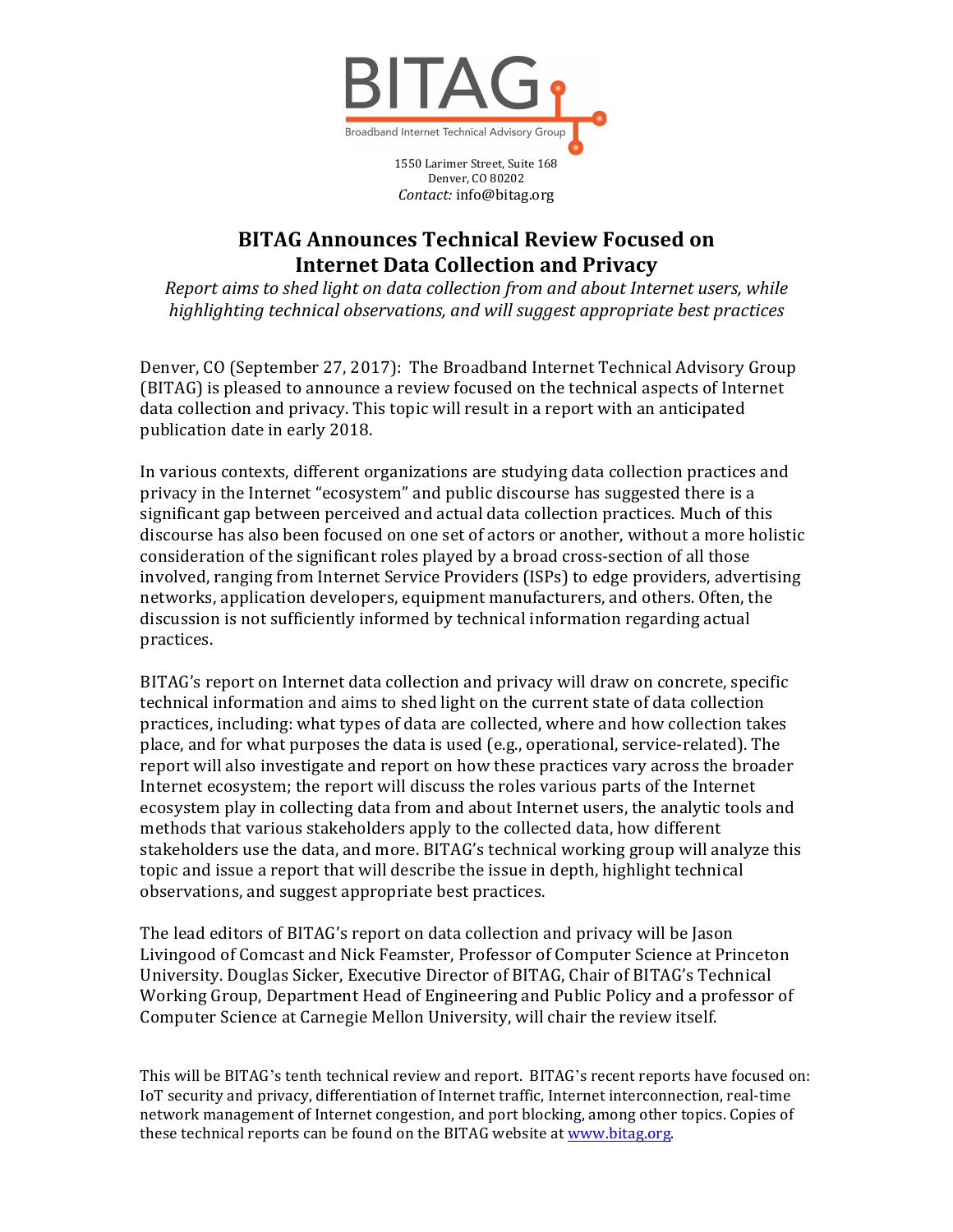

1550 Larimer Street, Suite 168 Denver, CO 80202 *Contact:* info@bitag.org

## **BITAG Announces Technical Review Focused on Internet Data Collection and Privacy**

*Report aims to shed light on data collection from and about Internet users, while highlighting technical observations, and will suggest appropriate best practices* 

Denver, CO (September 27, 2017): The Broadband Internet Technical Advisory Group (BITAG) is pleased to announce a review focused on the technical aspects of Internet data collection and privacy. This topic will result in a report with an anticipated publication date in early 2018.

In various contexts, different organizations are studying data collection practices and privacy in the Internet "ecosystem" and public discourse has suggested there is a significant gap between perceived and actual data collection practices. Much of this discourse has also been focused on one set of actors or another, without a more holistic consideration of the significant roles played by a broad cross-section of all those involved, ranging from Internet Service Providers (ISPs) to edge providers, advertising networks, application developers, equipment manufacturers, and others. Often, the discussion is not sufficiently informed by technical information regarding actual practices. 

BITAG's report on Internet data collection and privacy will draw on concrete, specific technical information and aims to shed light on the current state of data collection practices, including: what types of data are collected, where and how collection takes place, and for what purposes the data is used (e.g., operational, service-related). The report will also investigate and report on how these practices vary across the broader Internet ecosystem; the report will discuss the roles various parts of the Internet ecosystem play in collecting data from and about Internet users, the analytic tools and methods that various stakeholders apply to the collected data, how different stakeholders use the data, and more. BITAG's technical working group will analyze this topic and issue a report that will describe the issue in depth, highlight technical observations, and suggest appropriate best practices.

The lead editors of BITAG's report on data collection and privacy will be Jason Livingood of Comcast and Nick Feamster, Professor of Computer Science at Princeton University. Douglas Sicker, Executive Director of BITAG, Chair of BITAG's Technical Working Group, Department Head of Engineering and Public Policy and a professor of Computer Science at Carnegie Mellon University, will chair the review itself.

This will be BITAG's tenth technical review and report. BITAG's recent reports have focused on: IoT security and privacy, differentiation of Internet traffic, Internet interconnection, real-time network management of Internet congestion, and port blocking, among other topics. Copies of these technical reports can be found on the BITAG website at www.bitag.org.